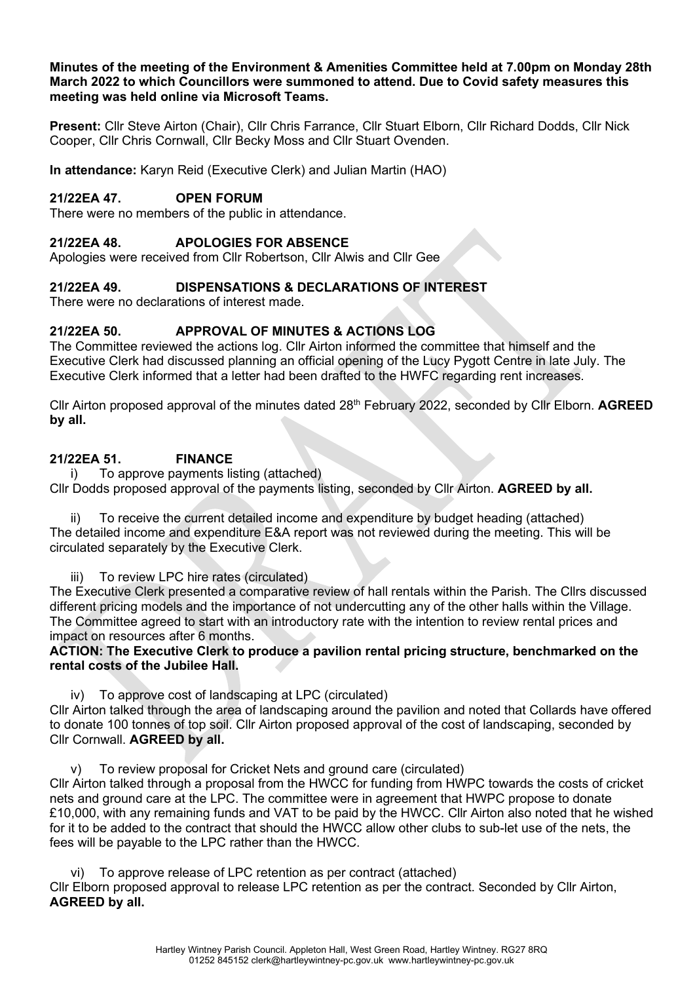### **Minutes of the meeting of the Environment & Amenities Committee held at 7.00pm on Monday 28th March 2022 to which Councillors were summoned to attend. Due to Covid safety measures this meeting was held online via Microsoft Teams.**

**Present:** Cllr Steve Airton (Chair), Cllr Chris Farrance, Cllr Stuart Elborn, Cllr Richard Dodds, Cllr Nick Cooper, Cllr Chris Cornwall, Cllr Becky Moss and Cllr Stuart Ovenden.

**In attendance:** Karyn Reid (Executive Clerk) and Julian Martin (HAO)

# **21/22EA 47. OPEN FORUM**

There were no members of the public in attendance.

#### **21/22EA 48. APOLOGIES FOR ABSENCE**

Apologies were received from Cllr Robertson, Cllr Alwis and Cllr Gee

### **21/22EA 49. DISPENSATIONS & DECLARATIONS OF INTEREST**

There were no declarations of interest made.

#### **21/22EA 50. APPROVAL OF MINUTES & ACTIONS LOG**

The Committee reviewed the actions log. Cllr Airton informed the committee that himself and the Executive Clerk had discussed planning an official opening of the Lucy Pygott Centre in late July. The Executive Clerk informed that a letter had been drafted to the HWFC regarding rent increases.

Cllr Airton proposed approval of the minutes dated 28th February 2022, seconded by Cllr Elborn. **AGREED by all.**

### **21/22EA 51. FINANCE**

i) To approve payments listing (attached) Cllr Dodds proposed approval of the payments listing, seconded by Cllr Airton. **AGREED by all.**

To receive the current detailed income and expenditure by budget heading (attached) The detailed income and expenditure E&A report was not reviewed during the meeting. This will be circulated separately by the Executive Clerk.

iii) To review LPC hire rates (circulated)

The Executive Clerk presented a comparative review of hall rentals within the Parish. The Cllrs discussed different pricing models and the importance of not undercutting any of the other halls within the Village. The Committee agreed to start with an introductory rate with the intention to review rental prices and impact on resources after 6 months.

**ACTION: The Executive Clerk to produce a pavilion rental pricing structure, benchmarked on the rental costs of the Jubilee Hall.**

iv) To approve cost of landscaping at LPC (circulated) Cllr Airton talked through the area of landscaping around the pavilion and noted that Collards have offered to donate 100 tonnes of top soil. Cllr Airton proposed approval of the cost of landscaping, seconded by Cllr Cornwall. **AGREED by all.**

To review proposal for Cricket Nets and ground care (circulated)

Cllr Airton talked through a proposal from the HWCC for funding from HWPC towards the costs of cricket nets and ground care at the LPC. The committee were in agreement that HWPC propose to donate £10,000, with any remaining funds and VAT to be paid by the HWCC. Cllr Airton also noted that he wished for it to be added to the contract that should the HWCC allow other clubs to sub-let use of the nets, the fees will be payable to the LPC rather than the HWCC.

vi) To approve release of LPC retention as per contract (attached) Cllr Elborn proposed approval to release LPC retention as per the contract. Seconded by Cllr Airton, **AGREED by all.**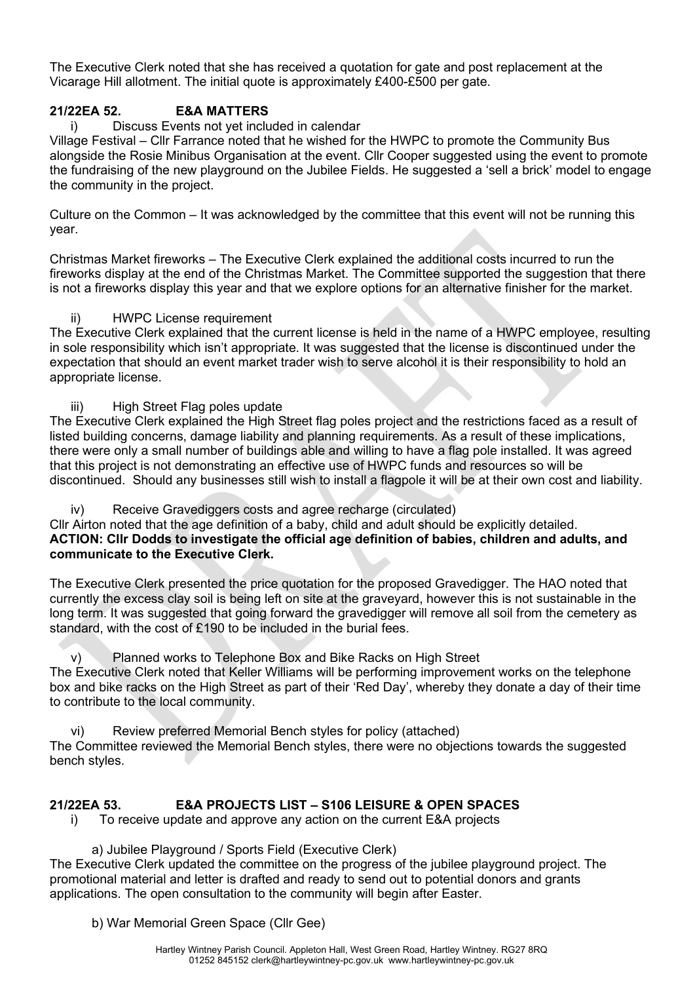The Executive Clerk noted that she has received a quotation for gate and post replacement at the Vicarage Hill allotment. The initial quote is approximately £400-£500 per gate.

# **21/22EA 52. E&A MATTERS**

### i) Discuss Events not yet included in calendar

Village Festival – Cllr Farrance noted that he wished for the HWPC to promote the Community Bus alongside the Rosie Minibus Organisation at the event. Cllr Cooper suggested using the event to promote the fundraising of the new playground on the Jubilee Fields. He suggested a 'sell a brick' model to engage the community in the project.

Culture on the Common – It was acknowledged by the committee that this event will not be running this year.

Christmas Market fireworks – The Executive Clerk explained the additional costs incurred to run the fireworks display at the end of the Christmas Market. The Committee supported the suggestion that there is not a fireworks display this year and that we explore options for an alternative finisher for the market.

### ii) HWPC License requirement

The Executive Clerk explained that the current license is held in the name of a HWPC employee, resulting in sole responsibility which isn't appropriate. It was suggested that the license is discontinued under the expectation that should an event market trader wish to serve alcohol it is their responsibility to hold an appropriate license.

#### iii) High Street Flag poles update

The Executive Clerk explained the High Street flag poles project and the restrictions faced as a result of listed building concerns, damage liability and planning requirements. As a result of these implications, there were only a small number of buildings able and willing to have a flag pole installed. It was agreed that this project is not demonstrating an effective use of HWPC funds and resources so will be discontinued. Should any businesses still wish to install a flagpole it will be at their own cost and liability.

iv) Receive Gravediggers costs and agree recharge (circulated)

Cllr Airton noted that the age definition of a baby, child and adult should be explicitly detailed. **ACTION: Cllr Dodds to investigate the official age definition of babies, children and adults, and communicate to the Executive Clerk.**

The Executive Clerk presented the price quotation for the proposed Gravedigger. The HAO noted that currently the excess clay soil is being left on site at the graveyard, however this is not sustainable in the long term. It was suggested that going forward the gravedigger will remove all soil from the cemetery as standard, with the cost of £190 to be included in the burial fees.

v) Planned works to Telephone Box and Bike Racks on High Street The Executive Clerk noted that Keller Williams will be performing improvement works on the telephone box and bike racks on the High Street as part of their 'Red Day', whereby they donate a day of their time to contribute to the local community.

vi) Review preferred Memorial Bench styles for policy (attached) The Committee reviewed the Memorial Bench styles, there were no objections towards the suggested bench styles.

# **21/22EA 53. E&A PROJECTS LIST – S106 LEISURE & OPEN SPACES**

i) To receive update and approve any action on the current E&A projects

a) Jubilee Playground / Sports Field (Executive Clerk)

The Executive Clerk updated the committee on the progress of the jubilee playground project. The promotional material and letter is drafted and ready to send out to potential donors and grants applications. The open consultation to the community will begin after Easter.

b) War Memorial Green Space (Cllr Gee)